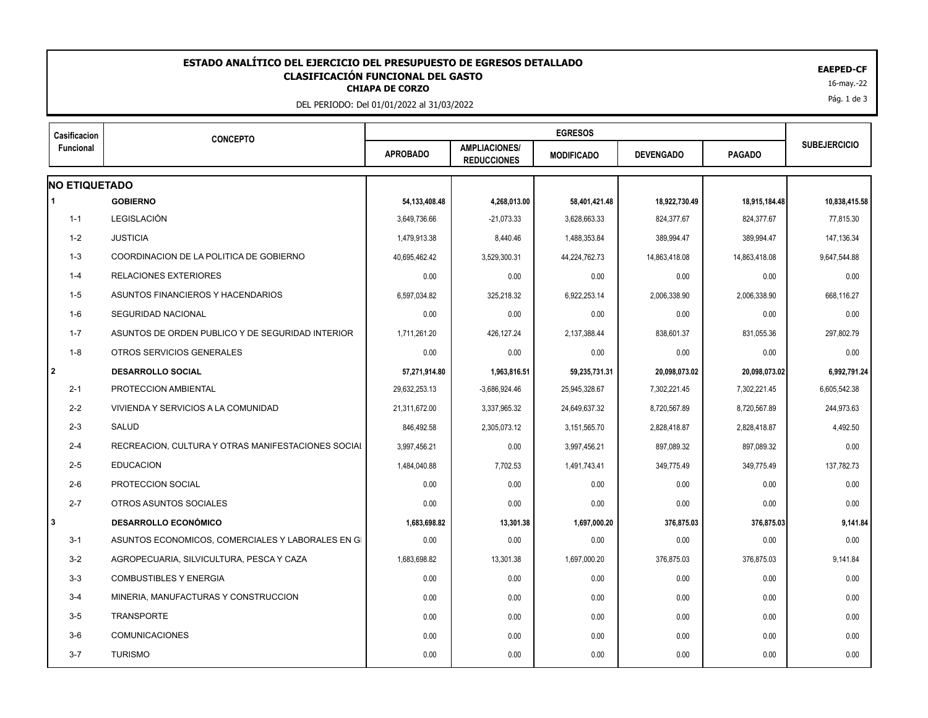## **CLASIFICACIÓN FUNCIONAL DEL GASTO<br>CHIAPA DE CORZO**<br><sup>16-may.-22</sup> **ESTADO ANALÍTICO DEL EJERCICIO DEL PRESUPUESTO DE EGRESOS DETALLADO EAEPED-CF CLASIFICACIÓN FUNCIONAL DEL GASTO**

DEL PERIODO: Del 01/01/2022 al 31/03/2022

| Casificacion<br>Funcional | <b>CONCEPTO</b>                                    |                  |                                            |                   |                  |               |                     |
|---------------------------|----------------------------------------------------|------------------|--------------------------------------------|-------------------|------------------|---------------|---------------------|
|                           |                                                    | <b>APROBADO</b>  | <b>AMPLIACIONES/</b><br><b>REDUCCIONES</b> | <b>MODIFICADO</b> | <b>DEVENGADO</b> | <b>PAGADO</b> | <b>SUBEJERCICIO</b> |
| <b>NO ETIQUETADO</b>      |                                                    |                  |                                            |                   |                  |               |                     |
|                           | <b>GOBIERNO</b>                                    | 54, 133, 408. 48 | 4,268,013.00                               | 58,401,421.48     | 18,922,730.49    | 18,915,184.48 | 10,838,415.58       |
| $1 - 1$                   | LEGISLACIÓN                                        | 3,649,736.66     | $-21,073.33$                               | 3,628,663.33      | 824,377.67       | 824,377.67    | 77,815.30           |
| $1 - 2$                   | <b>JUSTICIA</b>                                    | 1,479,913.38     | 8,440.46                                   | 1,488,353.84      | 389,994.47       | 389,994.47    | 147,136.34          |
| $1 - 3$                   | COORDINACION DE LA POLITICA DE GOBIERNO            | 40.695.462.42    | 3,529,300.31                               | 44,224,762.73     | 14,863,418.08    | 14,863,418.08 | 9,647,544.88        |
| $1 - 4$                   | <b>RELACIONES EXTERIORES</b>                       | 0.00             | 0.00                                       | 0.00              | 0.00             | 0.00          | 0.00                |
| $1 - 5$                   | ASUNTOS FINANCIEROS Y HACENDARIOS                  | 6,597,034.82     | 325,218.32                                 | 6,922,253.14      | 2,006,338.90     | 2,006,338.90  | 668,116.27          |
| $1-6$                     | <b>SEGURIDAD NACIONAL</b>                          | 0.00             | 0.00                                       | 0.00              | 0.00             | 0.00          | 0.00                |
| $1 - 7$                   | ASUNTOS DE ORDEN PUBLICO Y DE SEGURIDAD INTERIOR   | 1,711,261.20     | 426,127.24                                 | 2,137,388.44      | 838,601.37       | 831,055.36    | 297,802.79          |
| $1 - 8$                   | OTROS SERVICIOS GENERALES                          | 0.00             | 0.00                                       | 0.00              | 0.00             | 0.00          | 0.00                |
| l 2                       | <b>DESARROLLO SOCIAL</b>                           | 57,271,914.80    | 1,963,816.51                               | 59,235,731.31     | 20,098,073.02    | 20,098,073.02 | 6,992,791.24        |
| $2 - 1$                   | PROTECCION AMBIENTAL                               | 29.632.253.13    | $-3,686,924.46$                            | 25.945.328.67     | 7.302.221.45     | 7,302,221.45  | 6.605.542.38        |
| $2 - 2$                   | VIVIENDA Y SERVICIOS A LA COMUNIDAD                | 21,311,672.00    | 3,337,965.32                               | 24,649,637.32     | 8,720,567.89     | 8,720,567.89  | 244,973.63          |
| $2 - 3$                   | SALUD                                              | 846.492.58       | 2,305,073.12                               | 3,151,565.70      | 2,828,418.87     | 2,828,418.87  | 4,492.50            |
| $2 - 4$                   | RECREACION, CULTURA Y OTRAS MANIFESTACIONES SOCIAL | 3,997,456.21     | 0.00                                       | 3,997,456.21      | 897,089.32       | 897,089.32    | 0.00                |
| $2 - 5$                   | <b>EDUCACION</b>                                   | 1,484,040.88     | 7,702.53                                   | 1,491,743.41      | 349,775.49       | 349,775.49    | 137,782.73          |
| $2 - 6$                   | PROTECCION SOCIAL                                  | 0.00             | 0.00                                       | 0.00              | 0.00             | 0.00          | 0.00                |
| $2 - 7$                   | OTROS ASUNTOS SOCIALES                             | 0.00             | 0.00                                       | 0.00              | 0.00             | 0.00          | 0.00                |
| 3                         | <b>DESARROLLO ECONÓMICO</b>                        | 1,683,698.82     | 13,301.38                                  | 1,697,000.20      | 376,875.03       | 376,875.03    | 9,141.84            |
| $3 - 1$                   | ASUNTOS ECONOMICOS, COMERCIALES Y LABORALES EN GI  | 0.00             | 0.00                                       | 0.00              | 0.00             | 0.00          | 0.00                |
| $3 - 2$                   | AGROPECUARIA, SILVICULTURA, PESCA Y CAZA           | 1,683,698.82     | 13,301.38                                  | 1,697,000.20      | 376,875.03       | 376,875.03    | 9,141.84            |
| $3-3$                     | <b>COMBUSTIBLES Y ENERGIA</b>                      | 0.00             | 0.00                                       | 0.00              | 0.00             | 0.00          | 0.00                |
| $3 - 4$                   | MINERIA, MANUFACTURAS Y CONSTRUCCION               | 0.00             | 0.00                                       | 0.00              | 0.00             | 0.00          | 0.00                |
| $3-5$                     | <b>TRANSPORTE</b>                                  | 0.00             | 0.00                                       | 0.00              | 0.00             | 0.00          | 0.00                |
| $3-6$                     | <b>COMUNICACIONES</b>                              | 0.00             | 0.00                                       | 0.00              | 0.00             | 0.00          | 0.00                |
| $3 - 7$                   | <b>TURISMO</b>                                     | 0.00             | 0.00                                       | 0.00              | 0.00             | 0.00          | 0.00                |
|                           |                                                    |                  |                                            |                   |                  |               |                     |

Pág. 1 de 3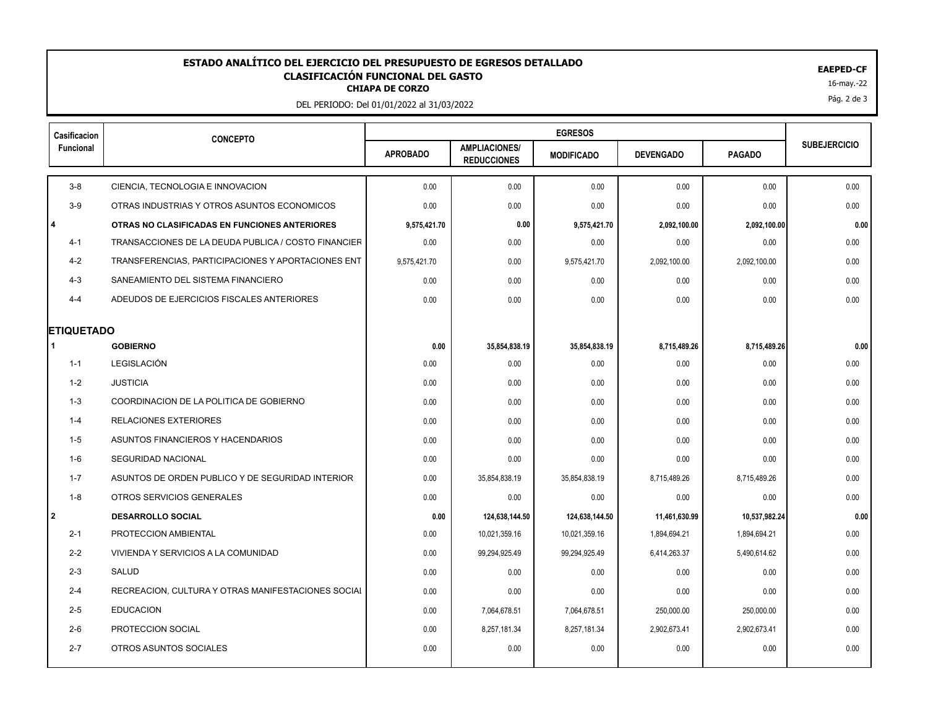## **CLASIFICACIÓN FUNCIONAL DEL GASTO<br>CHIAPA DE CORZO**<br><sup>16-may.-22</sup> **ESTADO ANALÍTICO DEL EJERCICIO DEL PRESUPUESTO DE EGRESOS DETALLADO EAEPED-CF CLASIFICACIÓN FUNCIONAL DEL GASTO**

DEL PERIODO: Del 01/01/2022 al 31/03/2022

| Casificacion<br><b>Funcional</b> | <b>CONCEPTO</b>                                     |                 |                                            |                   |                  |               |                     |
|----------------------------------|-----------------------------------------------------|-----------------|--------------------------------------------|-------------------|------------------|---------------|---------------------|
|                                  |                                                     | <b>APROBADO</b> | <b>AMPLIACIONES/</b><br><b>REDUCCIONES</b> | <b>MODIFICADO</b> | <b>DEVENGADO</b> | <b>PAGADO</b> | <b>SUBEJERCICIO</b> |
| $3-8$                            | CIENCIA, TECNOLOGIA E INNOVACION                    | 0.00            | 0.00                                       | 0.00              | 0.00             | 0.00          | 0.00                |
| $3-9$                            | OTRAS INDUSTRIAS Y OTROS ASUNTOS ECONOMICOS         | 0.00            | 0.00                                       | 0.00              | 0.00             | 0.00          | 0.00                |
| l 4                              | OTRAS NO CLASIFICADAS EN FUNCIONES ANTERIORES       | 9,575,421.70    | 0.00                                       | 9,575,421.70      | 2,092,100.00     | 2,092,100.00  | 0.00                |
| $4 - 1$                          | TRANSACCIONES DE LA DEUDA PUBLICA / COSTO FINANCIER | 0.00            | 0.00                                       | 0.00              | 0.00             | 0.00          | 0.00                |
| $4 - 2$                          | TRANSFERENCIAS, PARTICIPACIONES Y APORTACIONES ENT  | 9,575,421.70    | 0.00                                       | 9,575,421.70      | 2,092,100.00     | 2,092,100.00  | 0.00                |
| $4 - 3$                          | SANEAMIENTO DEL SISTEMA FINANCIERO                  | 0.00            | 0.00                                       | 0.00              | 0.00             | 0.00          | 0.00                |
| $4 - 4$                          | ADEUDOS DE EJERCICIOS FISCALES ANTERIORES           | 0.00            | 0.00                                       | 0.00              | 0.00             | 0.00          | 0.00                |
| <b>ETIQUETADO</b>                |                                                     |                 |                                            |                   |                  |               |                     |
|                                  | <b>GOBIERNO</b>                                     | 0.00            | 35,854,838.19                              | 35,854,838.19     | 8,715,489.26     | 8,715,489.26  | 0.00                |
| $1 - 1$                          | LEGISLACIÓN                                         | 0.00            | 0.00                                       | 0.00              | 0.00             | 0.00          | 0.00                |
| $1 - 2$                          | <b>JUSTICIA</b>                                     | 0.00            | 0.00                                       | 0.00              | 0.00             | 0.00          | 0.00                |
| $1 - 3$                          | COORDINACION DE LA POLITICA DE GOBIERNO             | 0.00            | 0.00                                       | 0.00              | 0.00             | 0.00          | 0.00                |
| $1 - 4$                          | <b>RELACIONES EXTERIORES</b>                        | 0.00            | 0.00                                       | 0.00              | 0.00             | 0.00          | 0.00                |
| $1 - 5$                          | ASUNTOS FINANCIEROS Y HACENDARIOS                   | 0.00            | 0.00                                       | 0.00              | 0.00             | 0.00          | 0.00                |
| $1 - 6$                          | <b>SEGURIDAD NACIONAL</b>                           | 0.00            | 0.00                                       | 0.00              | 0.00             | 0.00          | 0.00                |
| $1 - 7$                          | ASUNTOS DE ORDEN PUBLICO Y DE SEGURIDAD INTERIOR    | 0.00            | 35,854,838.19                              | 35,854,838.19     | 8,715,489.26     | 8,715,489.26  | 0.00                |
| $1 - 8$                          | OTROS SERVICIOS GENERALES                           | 0.00            | 0.00                                       | 0.00              | 0.00             | 0.00          | 0.00                |
| l 2                              | <b>DESARROLLO SOCIAL</b>                            | 0.00            | 124,638,144.50                             | 124,638,144.50    | 11,461,630.99    | 10,537,982.24 | 0.00                |
| $2 - 1$                          | PROTECCION AMBIENTAL                                | 0.00            | 10,021,359.16                              | 10,021,359.16     | 1,894,694.21     | 1,894,694.21  | 0.00                |
| $2 - 2$                          | VIVIENDA Y SERVICIOS A LA COMUNIDAD                 | 0.00            | 99,294,925.49                              | 99,294,925.49     | 6,414,263.37     | 5,490,614.62  | 0.00                |
| $2 - 3$                          | <b>SALUD</b>                                        | 0.00            | 0.00                                       | 0.00              | 0.00             | 0.00          | 0.00                |
| $2 - 4$                          | RECREACION, CULTURA Y OTRAS MANIFESTACIONES SOCIAL  | 0.00            | 0.00                                       | 0.00              | 0.00             | 0.00          | 0.00                |
| $2 - 5$                          | <b>EDUCACION</b>                                    | 0.00            | 7,064,678.51                               | 7,064,678.51      | 250,000.00       | 250,000.00    | 0.00                |
| $2 - 6$                          | PROTECCION SOCIAL                                   | 0.00            | 8,257,181.34                               | 8,257,181.34      | 2,902,673.41     | 2,902,673.41  | 0.00                |
| $2 - 7$                          | OTROS ASUNTOS SOCIALES                              | 0.00            | 0.00                                       | 0.00              | 0.00             | 0.00          | 0.00                |
|                                  |                                                     |                 |                                            |                   |                  |               |                     |

Pág. 2 de 3